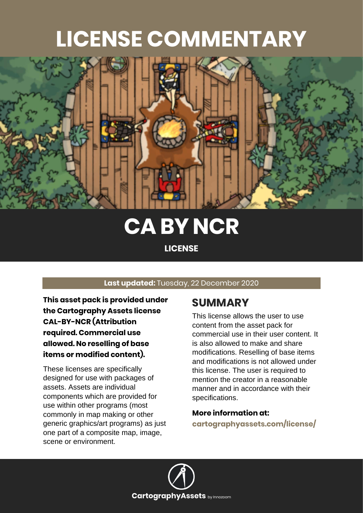## **LICENSE COMMENTARY**



## **CA BY NCR**

**LICENSE**

#### **Last updated:** Tuesday, 22 December 2020

**This asset pack is provided under the Cartography Assets license CAL-BY-NCR (Attribution required. Commercial use allowed. No reselling of base items or modified content).**

These licenses are specifically designed for use with packages of assets. Assets are individual components which are provided for use within other programs (most commonly in map making or other generic graphics/art programs) as just one part of a composite map, image, scene or environment.

#### **SUMMARY**

This license allows the user to use content from the asset pack for commercial use in their user content. It is also allowed to make and share modifications. Reselling of base items and modifications is not allowed under this license. The user is required to mention the creator in a reasonable manner and in accordance with their specifications.

#### **More information at:**

**[cartographyassets.com/license/](https://cartographyassets.com/license/)**

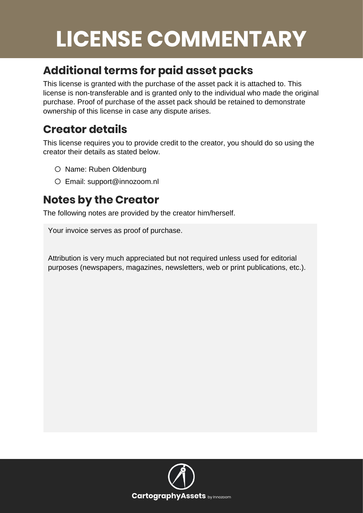# **LICENSE COMMENTARY**

### **Additional terms for paid asset packs**

This license is granted with the purchase of the asset pack it is attached to. This license is non-transferable and is granted only to the individual who made the original purchase. Proof of purchase of the asset pack should be retained to demonstrate ownership of this license in case any dispute arises.

#### **Creator details**

This license requires you to provide credit to the creator, you should do so using the creator their details as stated below.

- o Name: Ruben Oldenburg
- o Email: support@innozoom.nl

### **Notes by the Creator**

The following notes are provided by the creator him/herself.

Your invoice serves as proof of purchase.

Attribution is very much appreciated but not required unless used for editorial purposes (newspapers, magazines, newsletters, web or print publications, etc.).